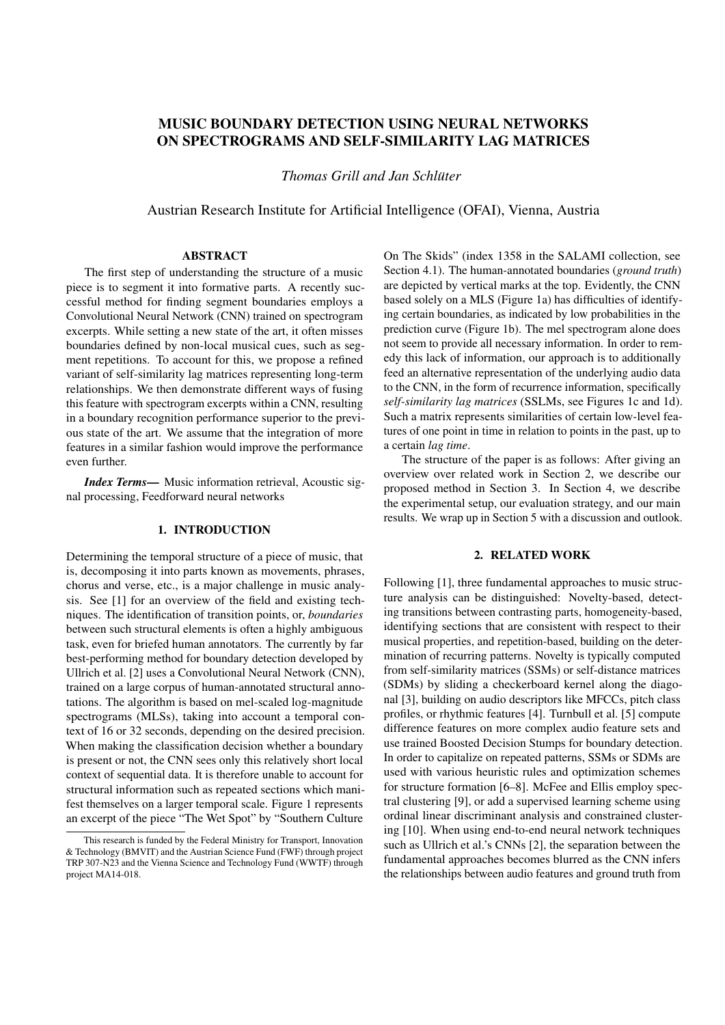# MUSIC BOUNDARY DETECTION USING NEURAL NETWORKS ON SPECTROGRAMS AND SELF-SIMILARITY LAG MATRICES

*Thomas Grill and Jan Schluter ¨*

Austrian Research Institute for Artificial Intelligence (OFAI), Vienna, Austria

#### ABSTRACT

The first step of understanding the structure of a music piece is to segment it into formative parts. A recently successful method for finding segment boundaries employs a Convolutional Neural Network (CNN) trained on spectrogram excerpts. While setting a new state of the art, it often misses boundaries defined by non-local musical cues, such as segment repetitions. To account for this, we propose a refined variant of self-similarity lag matrices representing long-term relationships. We then demonstrate different ways of fusing this feature with spectrogram excerpts within a CNN, resulting in a boundary recognition performance superior to the previous state of the art. We assume that the integration of more features in a similar fashion would improve the performance even further.

*Index Terms*— Music information retrieval, Acoustic signal processing, Feedforward neural networks

# 1. INTRODUCTION

Determining the temporal structure of a piece of music, that is, decomposing it into parts known as movements, phrases, chorus and verse, etc., is a major challenge in music analysis. See [1] for an overview of the field and existing techniques. The identification of transition points, or, *boundaries* between such structural elements is often a highly ambiguous task, even for briefed human annotators. The currently by far best-performing method for boundary detection developed by Ullrich et al. [2] uses a Convolutional Neural Network (CNN), trained on a large corpus of human-annotated structural annotations. The algorithm is based on mel-scaled log-magnitude spectrograms (MLSs), taking into account a temporal context of 16 or 32 seconds, depending on the desired precision. When making the classification decision whether a boundary is present or not, the CNN sees only this relatively short local context of sequential data. It is therefore unable to account for structural information such as repeated sections which manifest themselves on a larger temporal scale. Figure 1 represents an excerpt of the piece "The Wet Spot" by "Southern Culture

On The Skids" (index 1358 in the SALAMI collection, see Section 4.1). The human-annotated boundaries (*ground truth*) are depicted by vertical marks at the top. Evidently, the CNN based solely on a MLS (Figure 1a) has difficulties of identifying certain boundaries, as indicated by low probabilities in the prediction curve (Figure 1b). The mel spectrogram alone does not seem to provide all necessary information. In order to remedy this lack of information, our approach is to additionally feed an alternative representation of the underlying audio data to the CNN, in the form of recurrence information, specifically *self-similarity lag matrices* (SSLMs, see Figures 1c and 1d). Such a matrix represents similarities of certain low-level features of one point in time in relation to points in the past, up to a certain *lag time*.

The structure of the paper is as follows: After giving an overview over related work in Section 2, we describe our proposed method in Section 3. In Section 4, we describe the experimental setup, our evaluation strategy, and our main results. We wrap up in Section 5 with a discussion and outlook.

# 2. RELATED WORK

Following [1], three fundamental approaches to music structure analysis can be distinguished: Novelty-based, detecting transitions between contrasting parts, homogeneity-based, identifying sections that are consistent with respect to their musical properties, and repetition-based, building on the determination of recurring patterns. Novelty is typically computed from self-similarity matrices (SSMs) or self-distance matrices (SDMs) by sliding a checkerboard kernel along the diagonal [3], building on audio descriptors like MFCCs, pitch class profiles, or rhythmic features [4]. Turnbull et al. [5] compute difference features on more complex audio feature sets and use trained Boosted Decision Stumps for boundary detection. In order to capitalize on repeated patterns, SSMs or SDMs are used with various heuristic rules and optimization schemes for structure formation [6–8]. McFee and Ellis employ spectral clustering [9], or add a supervised learning scheme using ordinal linear discriminant analysis and constrained clustering [10]. When using end-to-end neural network techniques such as Ullrich et al.'s CNNs [2], the separation between the fundamental approaches becomes blurred as the CNN infers the relationships between audio features and ground truth from

This research is funded by the Federal Ministry for Transport, Innovation & Technology (BMVIT) and the Austrian Science Fund (FWF) through project TRP 307-N23 and the Vienna Science and Technology Fund (WWTF) through project MA14-018.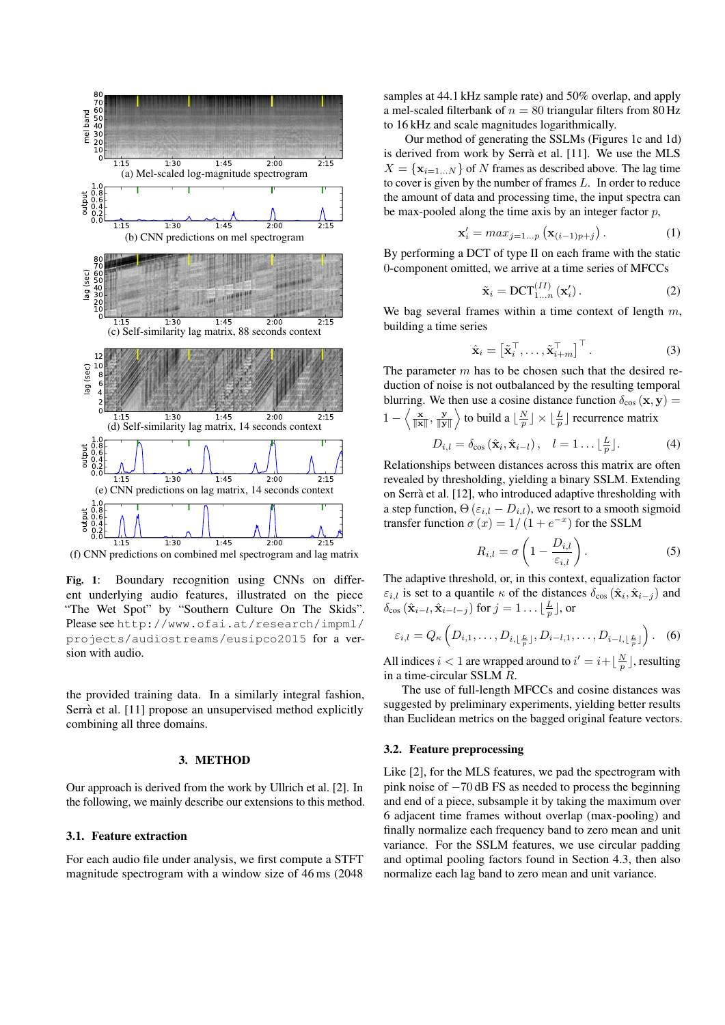

(f) CNN predictions on combined mel spectrogram and lag matrix

Fig. 1: Boundary recognition using CNNs on different underlying audio features, illustrated on the piece "The Wet Spot" by "Southern Culture On The Skids". Please see http://www.ofai.at/research/impml/ projects/audiostreams/eusipco2015 for a version with audio.

the provided training data. In a similarly integral fashion, Serrà et al. [11] propose an unsupervised method explicitly combining all three domains.

#### 3. METHOD

Our approach is derived from the work by Ullrich et al. [2]. In the following, we mainly describe our extensions to this method.

# 3.1. Feature extraction

For each audio file under analysis, we first compute a STFT magnitude spectrogram with a window size of 46 ms (2048

samples at 44.1 kHz sample rate) and 50% overlap, and apply a mel-scaled filterbank of  $n = 80$  triangular filters from 80 Hz to 16 kHz and scale magnitudes logarithmically.

Our method of generating the SSLMs (Figures 1c and 1d) is derived from work by Serrà et al. [11]. We use the MLS  $X = \{ \mathbf{x}_{i=1...N} \}$  of N frames as described above. The lag time to cover is given by the number of frames  $L$ . In order to reduce the amount of data and processing time, the input spectra can be max-pooled along the time axis by an integer factor  $p$ ,

$$
\mathbf{x}'_i = max_{j=1...p} \left( \mathbf{x}_{(i-1)p+j} \right). \tag{1}
$$

By performing a DCT of type II on each frame with the static 0-component omitted, we arrive at a time series of MFCCs

$$
\tilde{\mathbf{x}}_i = \text{DCT}_{1...n}^{(II)}\left(\mathbf{x}_i'\right). \tag{2}
$$

We bag several frames within a time context of length  $m$ , building a time series

$$
\hat{\mathbf{x}}_i = \left[ \tilde{\mathbf{x}}_i^\top, \dots, \tilde{\mathbf{x}}_{i+m}^\top \right]^\top. \tag{3}
$$

The parameter  $m$  has to be chosen such that the desired reduction of noise is not outbalanced by the resulting temporal blurring. We then use a cosine distance function  $\delta_{\cos}(\mathbf{x}, \mathbf{y}) =$  $1 - \left\langle \frac{\mathbf{x}}{\|\mathbf{x}\|}, \frac{\mathbf{y}}{\|\mathbf{y}\|} \right\rangle$  to build a  $\left\lfloor \frac{N}{p} \right\rfloor \times \left\lfloor \frac{L}{p} \right\rfloor$  recurrence matrix

$$
D_{i,l} = \delta_{\cos}(\hat{\mathbf{x}}_i, \hat{\mathbf{x}}_{i-l}), \quad l = 1 \dots \lfloor \frac{L}{p} \rfloor.
$$
 (4)

Relationships between distances across this matrix are often revealed by thresholding, yielding a binary SSLM. Extending on Serra et al. [12], who introduced adaptive thresholding with ` a step function,  $\Theta$  ( $\varepsilon_{i,l}$  –  $D_{i,l}$ ), we resort to a smooth sigmoid transfer function  $\sigma(x) = 1/(1 + e^{-x})$  for the SSLM

$$
R_{i,l} = \sigma \left( 1 - \frac{D_{i,l}}{\varepsilon_{i,l}} \right). \tag{5}
$$

The adaptive threshold, or, in this context, equalization factor  $\varepsilon_{i,l}$  is set to a quantile  $\kappa$  of the distances  $\delta_{\cos}(\hat{\mathbf{x}}_i, \hat{\mathbf{x}}_{i-j})$  and  $\delta_{\cos}(\hat{\mathbf{x}}_{i-l}, \hat{\mathbf{x}}_{i-l-j})$  for  $j = 1 \dots \lfloor \frac{L}{p} \rfloor$ , or

$$
\varepsilon_{i,l} = Q_{\kappa}\left(D_{i,1},\ldots,D_{i,\lfloor\frac{L}{p}\rfloor},D_{i-l,1},\ldots,D_{i-l,\lfloor\frac{L}{p}\rfloor}\right).
$$
 (6)

All indices  $i < 1$  are wrapped around to  $i' = i + \lfloor \frac{N}{p} \rfloor$ , resulting in a time-circular SSLM R.

The use of full-length MFCCs and cosine distances was suggested by preliminary experiments, yielding better results than Euclidean metrics on the bagged original feature vectors.

# 3.2. Feature preprocessing

Like [2], for the MLS features, we pad the spectrogram with pink noise of −70 dB FS as needed to process the beginning and end of a piece, subsample it by taking the maximum over 6 adjacent time frames without overlap (max-pooling) and finally normalize each frequency band to zero mean and unit variance. For the SSLM features, we use circular padding and optimal pooling factors found in Section 4.3, then also normalize each lag band to zero mean and unit variance.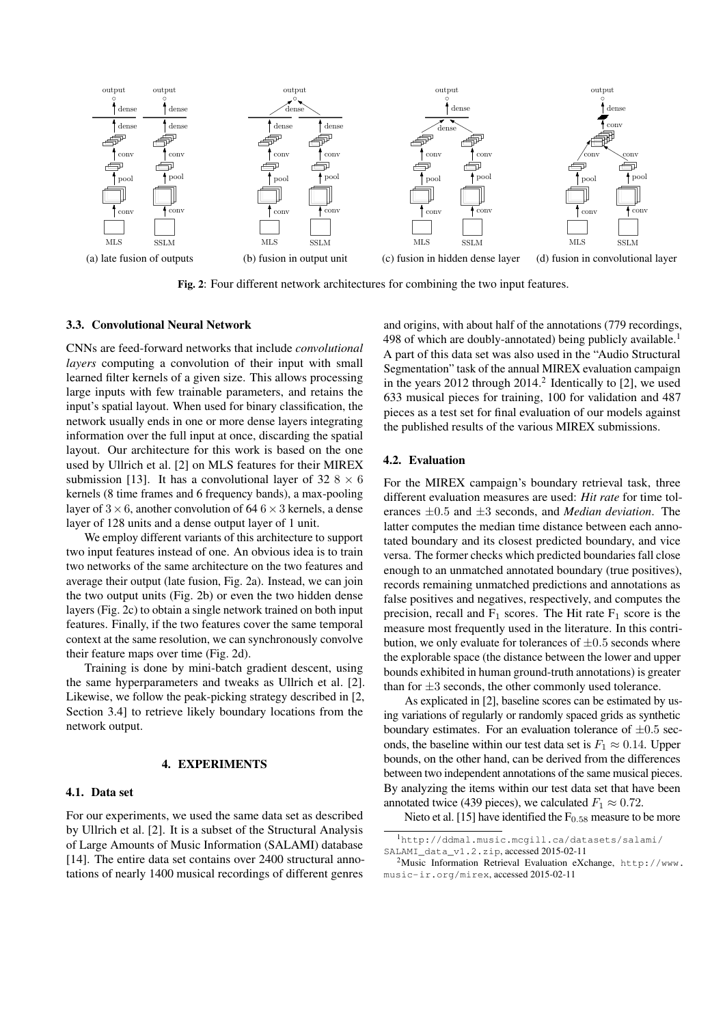

Fig. 2: Four different network architectures for combining the two input features.

### 3.3. Convolutional Neural Network

CNNs are feed-forward networks that include *convolutional layers* computing a convolution of their input with small learned filter kernels of a given size. This allows processing large inputs with few trainable parameters, and retains the input's spatial layout. When used for binary classification, the network usually ends in one or more dense layers integrating information over the full input at once, discarding the spatial layout. Our architecture for this work is based on the one used by Ullrich et al. [2] on MLS features for their MIREX submission [13]. It has a convolutional layer of 32  $8 \times 6$ kernels (8 time frames and 6 frequency bands), a max-pooling layer of  $3 \times 6$ , another convolution of  $64.6 \times 3$  kernels, a dense layer of 128 units and a dense output layer of 1 unit.

We employ different variants of this architecture to support two input features instead of one. An obvious idea is to train two networks of the same architecture on the two features and average their output (late fusion, Fig. 2a). Instead, we can join the two output units (Fig. 2b) or even the two hidden dense layers (Fig. 2c) to obtain a single network trained on both input features. Finally, if the two features cover the same temporal context at the same resolution, we can synchronously convolve their feature maps over time (Fig. 2d).

Training is done by mini-batch gradient descent, using the same hyperparameters and tweaks as Ullrich et al. [2]. Likewise, we follow the peak-picking strategy described in [2, Section 3.4] to retrieve likely boundary locations from the network output.

#### 4. EXPERIMENTS

### 4.1. Data set

For our experiments, we used the same data set as described by Ullrich et al. [2]. It is a subset of the Structural Analysis of Large Amounts of Music Information (SALAMI) database [14]. The entire data set contains over 2400 structural annotations of nearly 1400 musical recordings of different genres

and origins, with about half of the annotations (779 recordings, 498 of which are doubly-annotated) being publicly available.<sup>1</sup> A part of this data set was also used in the "Audio Structural Segmentation" task of the annual MIREX evaluation campaign in the years  $2012$  through  $2014<sup>2</sup>$  Identically to [2], we used 633 musical pieces for training, 100 for validation and 487 pieces as a test set for final evaluation of our models against the published results of the various MIREX submissions.

#### 4.2. Evaluation

For the MIREX campaign's boundary retrieval task, three different evaluation measures are used: *Hit rate* for time tolerances ±0.5 and ±3 seconds, and *Median deviation*. The latter computes the median time distance between each annotated boundary and its closest predicted boundary, and vice versa. The former checks which predicted boundaries fall close enough to an unmatched annotated boundary (true positives), records remaining unmatched predictions and annotations as false positives and negatives, respectively, and computes the precision, recall and  $F_1$  scores. The Hit rate  $F_1$  score is the measure most frequently used in the literature. In this contribution, we only evaluate for tolerances of  $\pm 0.5$  seconds where the explorable space (the distance between the lower and upper bounds exhibited in human ground-truth annotations) is greater than for  $\pm 3$  seconds, the other commonly used tolerance.

As explicated in [2], baseline scores can be estimated by using variations of regularly or randomly spaced grids as synthetic boundary estimates. For an evaluation tolerance of  $\pm 0.5$  seconds, the baseline within our test data set is  $F_1 \approx 0.14$ . Upper bounds, on the other hand, can be derived from the differences between two independent annotations of the same musical pieces. By analyzing the items within our test data set that have been annotated twice (439 pieces), we calculated  $F_1 \approx 0.72$ .

Nieto et al. [15] have identified the  $F<sub>0.58</sub>$  measure to be more

<sup>1</sup>http://ddmal.music.mcgill.ca/datasets/salami/

SALAMI\_data\_v1.2.zip. accessed 2015-02-11

<sup>2</sup>Music Information Retrieval Evaluation eXchange, http://www. music-ir.org/mirex, accessed 2015-02-11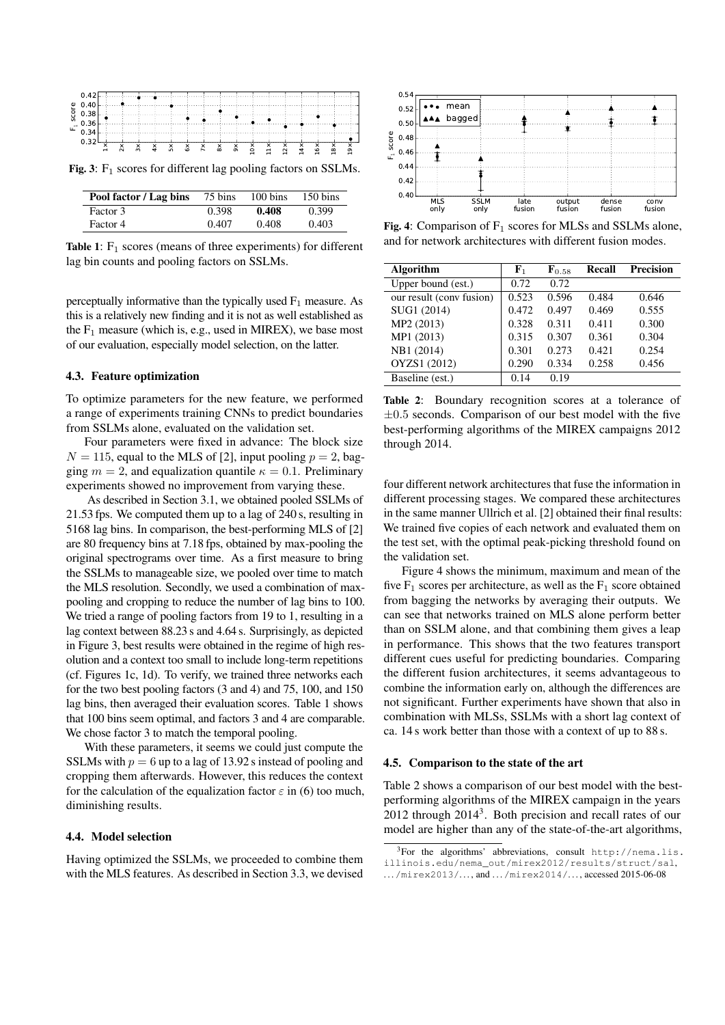

Fig. 3:  $F_1$  scores for different lag pooling factors on SSLMs.

| Pool factor / Lag bins | 75 bins | $100 \text{ bins}$ | $150 \text{ bins}$ |
|------------------------|---------|--------------------|--------------------|
| Factor 3               | 0.398   | 0.408              | 0.399              |
| Factor 4               | 0.407   | 0.408              | 0.403              |

Table 1:  $F_1$  scores (means of three experiments) for different lag bin counts and pooling factors on SSLMs.

perceptually informative than the typically used  $F_1$  measure. As this is a relatively new finding and it is not as well established as the  $F_1$  measure (which is, e.g., used in MIREX), we base most of our evaluation, especially model selection, on the latter.

### 4.3. Feature optimization

To optimize parameters for the new feature, we performed a range of experiments training CNNs to predict boundaries from SSLMs alone, evaluated on the validation set.

Four parameters were fixed in advance: The block size  $N = 115$ , equal to the MLS of [2], input pooling  $p = 2$ , bagging  $m = 2$ , and equalization quantile  $\kappa = 0.1$ . Preliminary experiments showed no improvement from varying these.

As described in Section 3.1, we obtained pooled SSLMs of 21.53 fps. We computed them up to a lag of 240 s, resulting in 5168 lag bins. In comparison, the best-performing MLS of [2] are 80 frequency bins at 7.18 fps, obtained by max-pooling the original spectrograms over time. As a first measure to bring the SSLMs to manageable size, we pooled over time to match the MLS resolution. Secondly, we used a combination of maxpooling and cropping to reduce the number of lag bins to 100. We tried a range of pooling factors from 19 to 1, resulting in a lag context between 88.23 s and 4.64 s. Surprisingly, as depicted in Figure 3, best results were obtained in the regime of high resolution and a context too small to include long-term repetitions (cf. Figures 1c, 1d). To verify, we trained three networks each for the two best pooling factors (3 and 4) and 75, 100, and 150 lag bins, then averaged their evaluation scores. Table 1 shows that 100 bins seem optimal, and factors 3 and 4 are comparable. We chose factor 3 to match the temporal pooling.

With these parameters, it seems we could just compute the SSLMs with  $p = 6$  up to a lag of 13.92 s instead of pooling and cropping them afterwards. However, this reduces the context for the calculation of the equalization factor  $\varepsilon$  in (6) too much, diminishing results.

# 4.4. Model selection

Having optimized the SSLMs, we proceeded to combine them with the MLS features. As described in Section 3.3, we devised



Fig. 4: Comparison of  $F_1$  scores for MLSs and SSLMs alone, and for network architectures with different fusion modes.

| <b>Algorithm</b>         | ${\bf F}_1$ | $\mathbf{F}_{0.58}$ | <b>Recall</b> | <b>Precision</b> |
|--------------------------|-------------|---------------------|---------------|------------------|
| Upper bound (est.)       | 0.72        | 0.72                |               |                  |
| our result (conv fusion) | 0.523       | 0.596               | 0.484         | 0.646            |
| SUG1 (2014)              | 0.472       | 0.497               | 0.469         | 0.555            |
| MP2 (2013)               | 0.328       | 0.311               | 0.411         | 0.300            |
| MP1 (2013)               | 0.315       | 0.307               | 0.361         | 0.304            |
| NB1 (2014)               | 0.301       | 0.273               | 0.421         | 0.254            |
| OYZS1 (2012)             | 0.290       | 0.334               | 0.258         | 0.456            |
| Baseline (est.)          | 0.14        | 0.19                |               |                  |

Table 2: Boundary recognition scores at a tolerance of  $\pm 0.5$  seconds. Comparison of our best model with the five best-performing algorithms of the MIREX campaigns 2012 through 2014.

four different network architectures that fuse the information in different processing stages. We compared these architectures in the same manner Ullrich et al. [2] obtained their final results: We trained five copies of each network and evaluated them on the test set, with the optimal peak-picking threshold found on the validation set.

Figure 4 shows the minimum, maximum and mean of the five  $F_1$  scores per architecture, as well as the  $F_1$  score obtained from bagging the networks by averaging their outputs. We can see that networks trained on MLS alone perform better than on SSLM alone, and that combining them gives a leap in performance. This shows that the two features transport different cues useful for predicting boundaries. Comparing the different fusion architectures, it seems advantageous to combine the information early on, although the differences are not significant. Further experiments have shown that also in combination with MLSs, SSLMs with a short lag context of ca. 14 s work better than those with a context of up to 88 s.

#### 4.5. Comparison to the state of the art

Table 2 shows a comparison of our best model with the bestperforming algorithms of the MIREX campaign in the years  $2012$  through  $2014<sup>3</sup>$ . Both precision and recall rates of our model are higher than any of the state-of-the-art algorithms,

<sup>3</sup>For the algorithms' abbreviations, consult http://nema.lis. illinois.edu/nema\_out/mirex2012/results/struct/sal,  $\ldots$ /mirex2013/ $\ldots$ , and  $\ldots$ /mirex2014/ $\ldots$ , accessed 2015-06-08